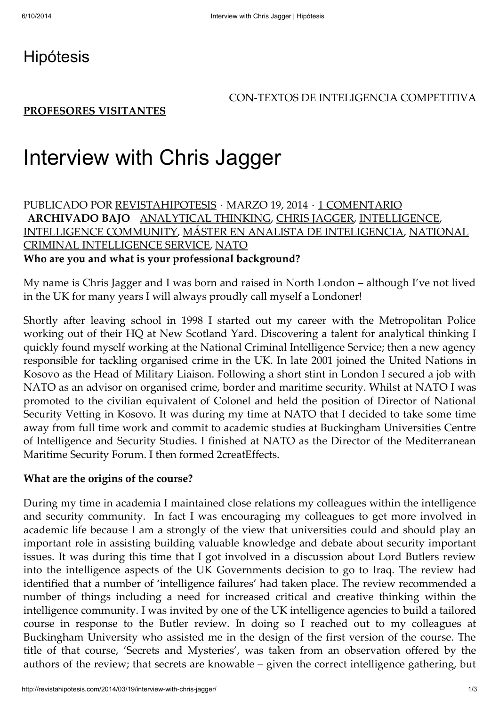### [Hipótesis](http://revistahipotesis.com/)

#### CON-TEXTOS DE INTELIGENCIA COMPETITIVA

#### [PROFESORES](http://revistahipotesis.com/category/profesores-visitantes/) VISITANTES

# Interview with Chris Jagger

#### PUBLICADO POR [REVISTAHIPOTESIS](http://revistahipotesis.com/author/revistahipotesis/) · MARZO 19, 2014 · 1 [COMENTARIO](#page-2-0) ARCHIVADO BAJO [ANALYTICAL](http://revistahipotesis.com/tag/analytical-thinking/) THINKING, CHRIS [JAGGER](http://revistahipotesis.com/tag/chris-jagger/), [INTELLIGENCE,](http://revistahipotesis.com/tag/intelligence/) [INTELLIGENCE](http://revistahipotesis.com/tag/intelligence-community/) COMMUNITY, MÁSTER EN ANALISTA DE [INTELIGENCIA](http://revistahipotesis.com/tag/master-en-analista-de-inteligencia/)[,](http://revistahipotesis.com/tag/national-criminal-intelligence-service/) NATIONAL CRIMINAL INTELLIGENCE SERVICE, [NATO](http://revistahipotesis.com/tag/nato/) Who are you and what is your professional background?

My name is Chris Jagger and I was born and raised in North London – although I've not lived in the UK for many years I will always proudly call myself a Londoner!

Shortly after leaving school in 1998 I started out my career with the Metropolitan Police working out of their HQ at New Scotland Yard. Discovering a talent for analytical thinking I quickly found myself working at the National Criminal Intelligence Service; then a new agency responsible for tackling organised crime in the UK. In late 2001 joined the United Nations in Kosovo as the Head of Military Liaison. Following a short stint in London I secured a job with NATO as an advisor on organised crime, border and maritime security. Whilst at NATO I was promoted to the civilian equivalent of Colonel and held the position of Director of National Security Vetting in Kosovo. It was during my time at NATO that I decided to take some time away from full time work and commit to academic studies at Buckingham Universities Centre of Intelligence and Security Studies. I finished at NATO as the Director of the Mediterranean Maritime Security Forum. I then formed 2creatEffects.

#### What are the origins of the course?

During my time in academia I maintained close relations my colleagues within the intelligence and security community. In fact I was encouraging my colleagues to get more involved in academic life because I am a strongly of the view that universities could and should play an important role in assisting building valuable knowledge and debate about security important issues. It was during this time that I got involved in a discussion about Lord Butlers review into the intelligence aspects of the UK Governments decision to go to Iraq. The review had identified that a number of 'intelligence failures' had taken place. The review recommended a number of things including a need for increased critical and creative thinking within the intelligence community. I was invited by one of the UK intelligence agencies to build a tailored course in response to the Butler review. In doing so I reached out to my colleagues at Buckingham University who assisted me in the design of the first version of the course. The title of that course, 'Secrets and Mysteries', was taken from an observation offered by the authors of the review; that secrets are knowable – given the correct intelligence gathering, but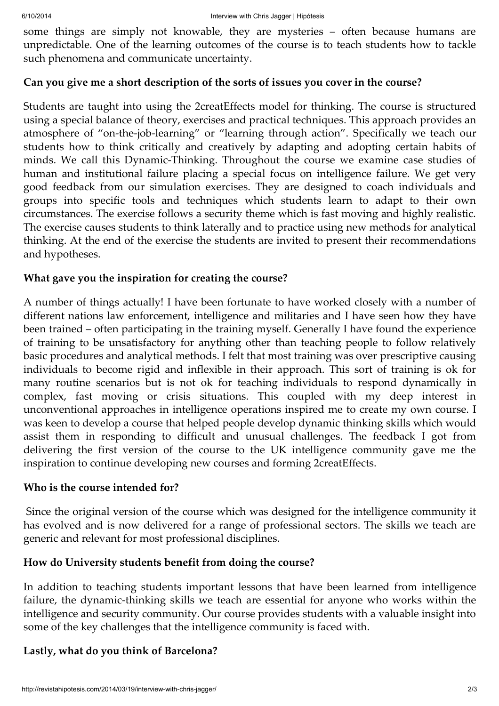some things are simply not knowable, they are mysteries – often because humans are unpredictable. One of the learning outcomes of the course is to teach students how to tackle such phenomena and communicate uncertainty.

#### Can you give me a short description of the sorts of issues you cover in the course?

Students are taught into using the 2creatEffects model for thinking. The course is structured using a special balance of theory, exercises and practical techniques. This approach provides an atmosphere of "on-the-job-learning" or "learning through action". Specifically we teach our students how to think critically and creatively by adapting and adopting certain habits of minds. We call this Dynamic-Thinking. Throughout the course we examine case studies of human and institutional failure placing a special focus on intelligence failure. We get very good feedback from our simulation exercises. They are designed to coach individuals and groups into specific tools and techniques which students learn to adapt to their own circumstances. The exercise follows a security theme which is fast moving and highly realistic. The exercise causes students to think laterally and to practice using new methods for analytical thinking. At the end of the exercise the students are invited to present their recommendations and hypotheses.

#### What gave you the inspiration for creating the course?

A number of things actually! I have been fortunate to have worked closely with a number of different nations law enforcement, intelligence and militaries and I have seen how they have been trained – often participating in the training myself. Generally I have found the experience of training to be unsatisfactory for anything other than teaching people to follow relatively basic procedures and analytical methods. I felt that most training was over prescriptive causing individuals to become rigid and inflexible in their approach. This sort of training is ok for many routine scenarios but is not ok for teaching individuals to respond dynamically in complex, fast moving or crisis situations. This coupled with my deep interest in unconventional approaches in intelligence operations inspired me to create my own course. I was keen to develop a course that helped people develop dynamic thinking skills which would assist them in responding to difficult and unusual challenges. The feedback I got from delivering the first version of the course to the UK intelligence community gave me the inspiration to continue developing new courses and forming 2creatEffects.

#### Who is the course intended for?

Since the original version of the course which was designed for the intelligence community it has evolved and is now delivered for a range of professional sectors. The skills we teach are generic and relevant for most professional disciplines.

#### How do University students benefit from doing the course?

In addition to teaching students important lessons that have been learned from intelligence failure, the dynamic-thinking skills we teach are essential for anyone who works within the intelligence and security community. Our course provides students with a valuable insight into some of the key challenges that the intelligence community is faced with.

#### Lastly, what do you think of Barcelona?